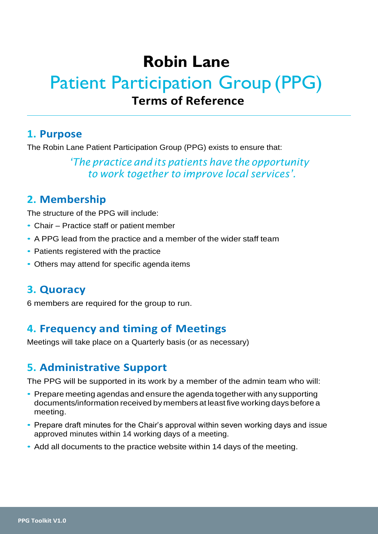# **Robin Lane**

# Patient Participation Group (PPG) **Terms of Reference**

#### **1. Purpose**

The Robin Lane Patient Participation Group (PPG) exists to ensure that:

*'The practice and its patients have the opportunity to work together to improve local services'.*

## **2. Membership**

The structure of the PPG will include:

- Chair Practice staff or patient member
- A PPG lead from the practice and a member of the wider staff team
- Patients registered with the practice
- Others may attend for specific agenda items

#### **3. Quoracy**

6 members are required for the group to run.

### **4. Frequency and timing of Meetings**

Meetings will take place on a Quarterly basis (or as necessary)

## **5. Administrative Support**

The PPG will be supported in its work by a member of the admin team who will:

- Prepare meeting agendas and ensure the agenda together with any supporting documents/information received by members at least five working days before a meeting.
- Prepare draft minutes for the Chair's approval within seven working days and issue approved minutes within 14 working days of a meeting.
- Add all documents to the practice website within 14 days of the meeting.